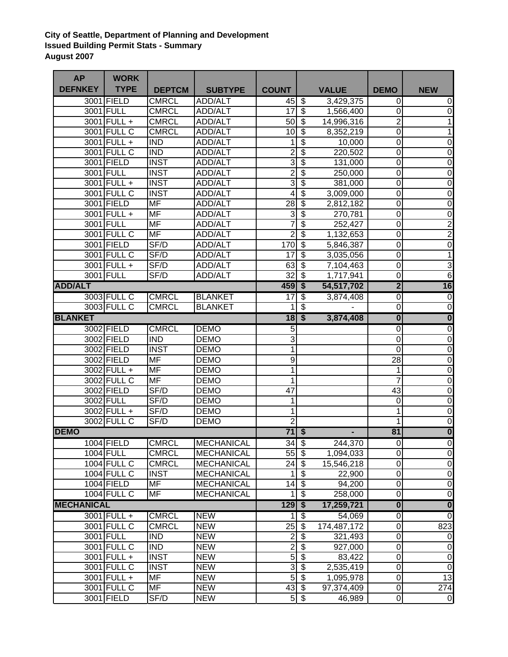## **City of Seattle, Department of Planning and Development Issued Building Permit Stats - Summary August 2007**

| <b>AP</b>         | <b>WORK</b>        |                          |                   |                             |                                        |              |                         |                         |
|-------------------|--------------------|--------------------------|-------------------|-----------------------------|----------------------------------------|--------------|-------------------------|-------------------------|
| <b>DEFNKEY</b>    | <b>TYPE</b>        | <b>DEPTCM</b>            | <b>SUBTYPE</b>    | <b>COUNT</b>                |                                        | <b>VALUE</b> | <b>DEMO</b>             | <b>NEW</b>              |
|                   | 3001 FIELD         | <b>CMRCL</b>             | <b>ADD/ALT</b>    | 45                          | $\overline{\mathcal{S}}$               | 3,429,375    | 0                       | $\mathbf 0$             |
|                   | 3001 FULL          | <b>CMRCL</b>             | <b>ADD/ALT</b>    | 17                          | $\overline{\$}$                        | 1,566,400    | $\pmb{0}$               | $\pmb{0}$               |
|                   | 3001 FULL +        | <b>CMRCL</b>             | ADD/ALT           | 50                          | $\overline{\mathcal{S}}$               | 14,996,316   | $\overline{2}$          | 1                       |
|                   | 3001 FULL C        | <b>CMRCL</b>             | <b>ADD/ALT</b>    | 10                          | $\overline{\mathbf{s}}$                | 8,352,219    | $\overline{0}$          | 1                       |
|                   | 3001 FULL +        | <b>IND</b>               | <b>ADD/ALT</b>    | 1                           | $\overline{\mathbf{S}}$                | 10,000       | $\overline{0}$          | $\boldsymbol{0}$        |
|                   | 3001 FULL C        | <b>IND</b>               | <b>ADD/ALT</b>    | $\overline{2}$              | $\overline{\mathbf{S}}$                | 220,502      | $\overline{0}$          | $\overline{0}$          |
|                   | 3001 FIELD         | <b>INST</b>              | <b>ADD/ALT</b>    | $\overline{3}$              | $\overline{\mathbf{S}}$                | 131,000      | $\overline{0}$          | $\boldsymbol{0}$        |
|                   | 3001 FULL          | <b>INST</b>              | <b>ADD/ALT</b>    | $\overline{2}$              | \$                                     | 250,000      | $\mathbf 0$             | $\pmb{0}$               |
|                   | 3001 FULL +        | <b>INST</b>              | <b>ADD/ALT</b>    | 3                           | $\overline{\boldsymbol{\theta}}$       | 381,000      | $\mathbf 0$             | $\boldsymbol{0}$        |
|                   | 3001 FULL C        | <b>INST</b>              | ADD/ALT           | 4                           | $\overline{\mathcal{S}}$               | 3,009,000    | $\overline{0}$          | $\pmb{0}$               |
|                   | 3001 FIELD         | <b>MF</b>                | <b>ADD/ALT</b>    | 28                          | $\overline{\boldsymbol{\mathfrak{s}}}$ | 2,812,182    | $\mathbf 0$             | $\pmb{0}$               |
|                   | 3001 FULL +        | <b>MF</b>                | <b>ADD/ALT</b>    | $\overline{3}$              | $\overline{\mathbf{s}}$                | 270,781      | 0                       | $\pmb{0}$               |
|                   | 3001 FULL          | <b>MF</b>                | <b>ADD/ALT</b>    | $\overline{7}$              | $\overline{\$}$                        | 252,427      | 0                       | $\overline{2}$          |
|                   | 3001 FULL C        | <b>MF</b>                | <b>ADD/ALT</b>    | $\overline{2}$              | $\overline{\$}$                        | 1,132,653    | $\mathbf 0$             | $\overline{2}$          |
|                   | 3001 FIELD         | SF/D                     | <b>ADD/ALT</b>    | 170                         | $\overline{\$}$                        | 5,846,387    | $\mathbf 0$             | $\overline{0}$          |
|                   | 3001 FULL C        | SF/D                     | <b>ADD/ALT</b>    | 17                          | $\overline{\mathcal{S}}$               | 3,035,056    | 0                       | 1                       |
|                   | 3001 FULL +        | SF/D                     | <b>ADD/ALT</b>    | 63                          | $\overline{\mathcal{S}}$               | 7,104,463    | $\pmb{0}$               | 3                       |
|                   | 3001 FULL          | SF/D                     | <b>ADD/ALT</b>    | $\overline{32}$             | $\overline{\mathcal{S}}$               | 1,717,941    | $\overline{0}$          | $\overline{6}$          |
| <b>ADD/ALT</b>    |                    |                          |                   | 459                         | $\overline{\mathbf{s}}$                | 54,517,702   | $\overline{2}$          | $\overline{16}$         |
|                   | 3003 FULL C        | <b>CMRCL</b>             | <b>BLANKET</b>    | 17                          | $\overline{\$}$                        | 3,874,408    | 0                       | $\overline{0}$          |
|                   | 3003 FULL C        | <b>CMRCL</b>             | <b>BLANKET</b>    | 1                           | \$                                     |              | 0                       | $\overline{0}$          |
| <b>BLANKET</b>    |                    |                          |                   | 18                          | $\overline{\bullet}$                   | 3,874,408    | $\overline{\mathbf{0}}$ | $\overline{\mathbf{0}}$ |
|                   | 3002 FIELD         | <b>CMRCL</b>             | <b>DEMO</b>       | 5                           |                                        |              | 0                       | $\overline{\mathsf{o}}$ |
|                   | 3002 FIELD         | <b>IND</b>               | <b>DEMO</b>       | $\overline{3}$              |                                        |              | $\mathbf 0$             | $\overline{0}$          |
|                   | 3002 FIELD         | <b>INST</b>              | <b>DEMO</b>       | 1                           |                                        |              | 0                       | $\pmb{0}$               |
|                   | 3002 FIELD         | <b>MF</b>                | <b>DEMO</b>       | 9                           |                                        |              | 28                      | $\pmb{0}$               |
|                   | $3002$ FULL +      | <b>MF</b>                | <b>DEMO</b>       | 1                           |                                        |              | 1                       | $\overline{0}$          |
|                   | 3002 FULL C        | <b>MF</b>                | <b>DEMO</b>       | 1                           |                                        |              | 7                       | $\overline{0}$          |
|                   | 3002 FIELD         | SF/D                     | <b>DEMO</b>       | 47                          |                                        |              | 43                      | $\pmb{0}$               |
|                   | 3002 FULL          | SF/D                     | <b>DEMO</b>       | 1                           |                                        |              | $\pmb{0}$               | $\overline{0}$          |
|                   | 3002 FULL +        | SF/D                     | <b>DEMO</b>       | 1                           |                                        |              | 1                       | $\overline{0}$          |
|                   | 3002 FULL C        | SF/D                     | <b>DEMO</b>       | $\overline{2}$              |                                        |              | 1                       | $\overline{0}$          |
| <b>DEMO</b>       |                    |                          |                   | $\overline{71}$             | $\bullet$                              |              | 81                      | $\overline{\mathbf{0}}$ |
|                   | 1004 FIELD         | <b>CMRCL</b>             | MECHANICAL        | $34 \overline{\smash{)}\,}$ |                                        | 244,370      | $\overline{0}$          | $\overline{0}$          |
|                   | 1004 FULL          | <b>CMRCL</b>             | <b>MECHANICAL</b> | $55$ \$                     |                                        | 1,094,033    | $\mathbf 0$             | $\pmb{0}$               |
|                   | 1004 FULL C        | <b>CMRCL</b>             | <b>MECHANICAL</b> | $24$ \$                     |                                        | 15,546,218   | $\mathbf 0$             | $\overline{0}$          |
|                   | <b>1004 FULL C</b> | <b>INST</b>              | <b>MECHANICAL</b> | 1                           | க                                      | 22,900       | $\mathbf 0$             | $\overline{0}$          |
|                   | 1004 FIELD         | $\overline{\mathsf{MF}}$ | <b>MECHANICAL</b> | $14$ \$                     |                                        | 94,200       | 0                       | $\overline{0}$          |
|                   | <b>1004 FULL C</b> | MF                       | <b>MECHANICAL</b> | 1                           | $\overline{\$}$                        | 258,000      | $\boldsymbol{0}$        | $\overline{0}$          |
| <b>MECHANICAL</b> | $129$ \$           |                          | 17,259,721        | $\pmb{0}$                   | $\overline{\mathbf{0}}$                |              |                         |                         |
|                   | 3001 FULL +        | <b>CMRCL</b>             | <b>NEW</b>        | 1                           | $\bullet$                              | 54,069       | 0                       | $\overline{0}$          |
|                   | 3001 FULL C        | <b>CMRCL</b>             | <b>NEW</b>        | $25$ \$                     |                                        | 174,487,172  | 0                       | 823                     |
|                   | 3001 FULL          | <b>IND</b>               | <b>NEW</b>        | $\overline{c}$              | \$                                     | 321,493      | $\boldsymbol{0}$        | $\overline{0}$          |
|                   | 3001 FULL C        | <b>IND</b>               | <b>NEW</b>        | $\overline{2}$              | \$                                     | 927,000      | $\mathbf 0$             | $\overline{0}$          |
|                   | 3001 FULL +        | <b>INST</b>              | <b>NEW</b>        |                             | $5$ $\sqrt{3}$                         | 83,422       | $\boldsymbol{0}$        | $\overline{0}$          |
|                   | 3001 FULL C        | <b>INST</b>              | <b>NEW</b>        | دن                          | $\bullet$                              | 2,535,419    | $\pmb{0}$               | $\overline{0}$          |
|                   | 3001 FULL +        | MF                       | <b>NEW</b>        |                             | $\frac{5}{9}$                          | 1,095,978    | 0                       | 13                      |
|                   | 3001 FULL C        | MF                       | <b>NEW</b>        | $43 \, 3$                   |                                        | 97,374,409   | $\pmb{0}$               | 274                     |
|                   | 3001 FIELD         | SF/D                     | <b>NEW</b>        |                             | $5$ $\sqrt{3}$                         | 46,989       | 0                       | $\overline{0}$          |